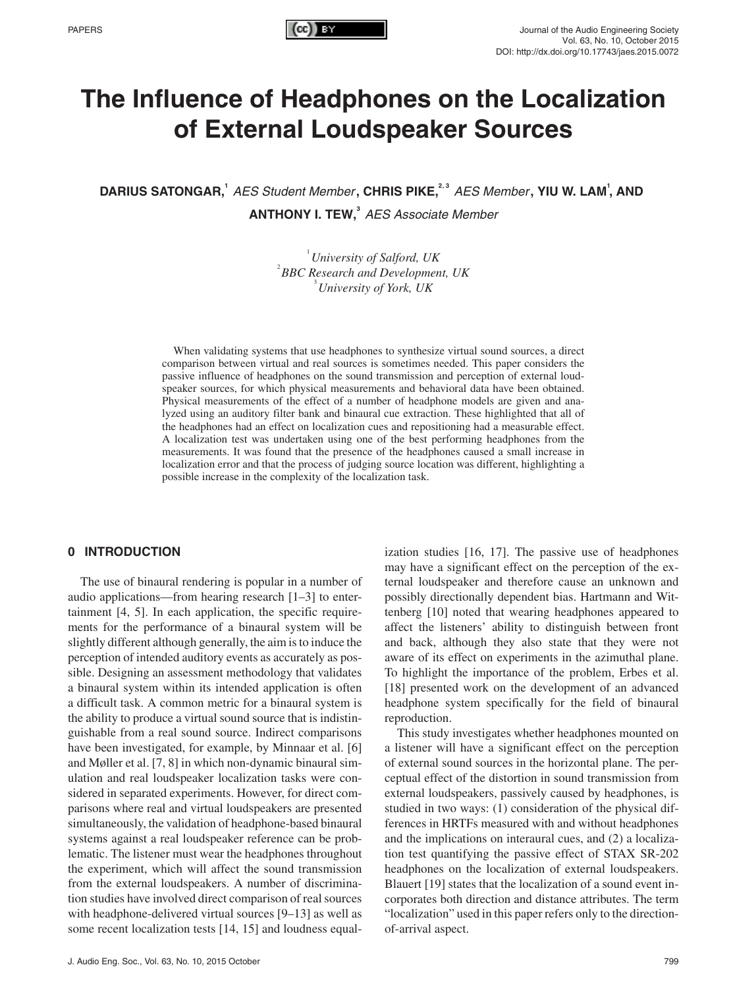

# **The Influence of Headphones on the Localization of External Loudspeaker Sources**

DARIUS SATONGAR,<sup>1</sup> AES Student Member, CHRIS PIKE,<sup>2,3</sup> AES Member, YIU W. LAM<sup>1</sup>, AND **ANTHONY I. TEW,**<sup>3</sup> AES Associate Member

> <sup>1</sup> University of Salford, UK<sup>2</sup> PPG P <sup>2</sup> BBC Research and Development, UK *University of York, UK*

When validating systems that use headphones to synthesize virtual sound sources, a direct comparison between virtual and real sources is sometimes needed. This paper considers the passive influence of headphones on the sound transmission and perception of external loudspeaker sources, for which physical measurements and behavioral data have been obtained. Physical measurements of the effect of a number of headphone models are given and analyzed using an auditory filter bank and binaural cue extraction. These highlighted that all of the headphones had an effect on localization cues and repositioning had a measurable effect. A localization test was undertaken using one of the best performing headphones from the measurements. It was found that the presence of the headphones caused a small increase in localization error and that the process of judging source location was different, highlighting a possible increase in the complexity of the localization task.

# **0 INTRODUCTION**

The use of binaural rendering is popular in a number of audio applications—from hearing research [1–3] to entertainment [4, 5]. In each application, the specific requirements for the performance of a binaural system will be slightly different although generally, the aim is to induce the perception of intended auditory events as accurately as possible. Designing an assessment methodology that validates a binaural system within its intended application is often a difficult task. A common metric for a binaural system is the ability to produce a virtual sound source that is indistinguishable from a real sound source. Indirect comparisons have been investigated, for example, by Minnaar et al. [6] and Møller et al. [7, 8] in which non-dynamic binaural simulation and real loudspeaker localization tasks were considered in separated experiments. However, for direct comparisons where real and virtual loudspeakers are presented simultaneously, the validation of headphone-based binaural systems against a real loudspeaker reference can be problematic. The listener must wear the headphones throughout the experiment, which will affect the sound transmission from the external loudspeakers. A number of discrimination studies have involved direct comparison of real sources with headphone-delivered virtual sources [9–13] as well as some recent localization tests [14, 15] and loudness equal-

ization studies [16, 17]. The passive use of headphones may have a significant effect on the perception of the external loudspeaker and therefore cause an unknown and possibly directionally dependent bias. Hartmann and Wittenberg [10] noted that wearing headphones appeared to affect the listeners' ability to distinguish between front and back, although they also state that they were not aware of its effect on experiments in the azimuthal plane. To highlight the importance of the problem, Erbes et al. [18] presented work on the development of an advanced headphone system specifically for the field of binaural reproduction.

This study investigates whether headphones mounted on a listener will have a significant effect on the perception of external sound sources in the horizontal plane. The perceptual effect of the distortion in sound transmission from external loudspeakers, passively caused by headphones, is studied in two ways: (1) consideration of the physical differences in HRTFs measured with and without headphones and the implications on interaural cues, and (2) a localization test quantifying the passive effect of STAX SR-202 headphones on the localization of external loudspeakers. Blauert [19] states that the localization of a sound event incorporates both direction and distance attributes. The term "localization" used in this paper refers only to the directionof-arrival aspect.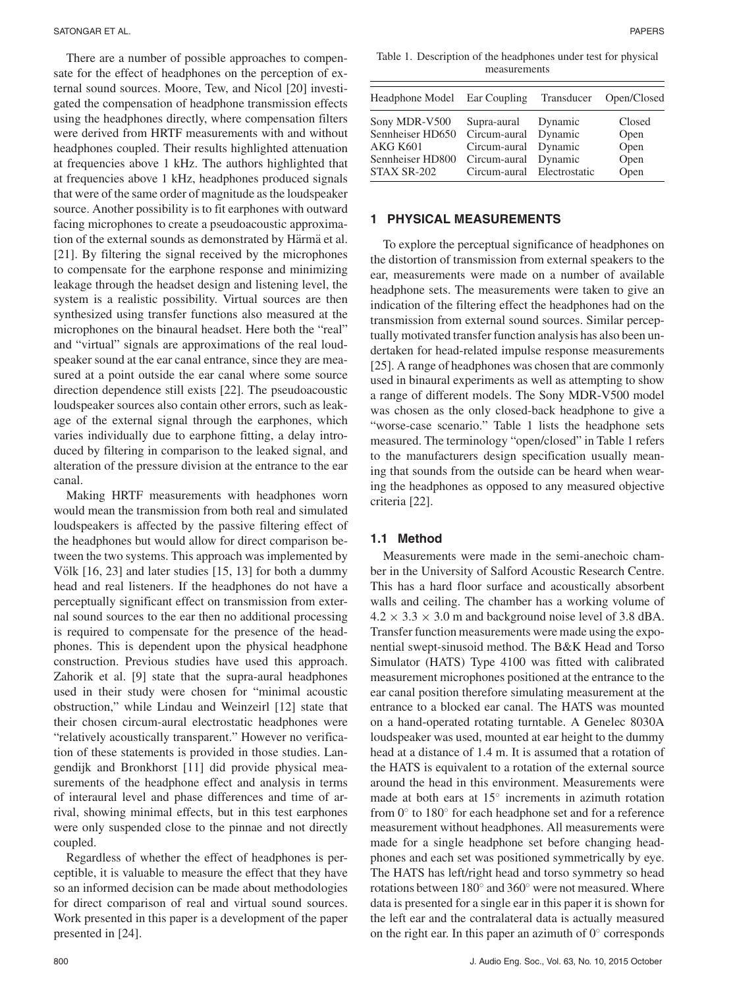There are a number of possible approaches to compensate for the effect of headphones on the perception of external sound sources. Moore, Tew, and Nicol [20] investigated the compensation of headphone transmission effects using the headphones directly, where compensation filters were derived from HRTF measurements with and without headphones coupled. Their results highlighted attenuation at frequencies above 1 kHz. The authors highlighted that at frequencies above 1 kHz, headphones produced signals that were of the same order of magnitude as the loudspeaker source. Another possibility is to fit earphones with outward facing microphones to create a pseudoacoustic approximation of the external sounds as demonstrated by Härmä et al. [21]. By filtering the signal received by the microphones to compensate for the earphone response and minimizing leakage through the headset design and listening level, the system is a realistic possibility. Virtual sources are then synthesized using transfer functions also measured at the microphones on the binaural headset. Here both the "real" and "virtual" signals are approximations of the real loudspeaker sound at the ear canal entrance, since they are measured at a point outside the ear canal where some source direction dependence still exists [22]. The pseudoacoustic loudspeaker sources also contain other errors, such as leakage of the external signal through the earphones, which varies individually due to earphone fitting, a delay introduced by filtering in comparison to the leaked signal, and alteration of the pressure division at the entrance to the ear canal.

Making HRTF measurements with headphones worn would mean the transmission from both real and simulated loudspeakers is affected by the passive filtering effect of the headphones but would allow for direct comparison between the two systems. This approach was implemented by Völk  $[16, 23]$  and later studies  $[15, 13]$  for both a dummy head and real listeners. If the headphones do not have a perceptually significant effect on transmission from external sound sources to the ear then no additional processing is required to compensate for the presence of the headphones. This is dependent upon the physical headphone construction. Previous studies have used this approach. Zahorik et al. [9] state that the supra-aural headphones used in their study were chosen for "minimal acoustic obstruction," while Lindau and Weinzeirl [12] state that their chosen circum-aural electrostatic headphones were "relatively acoustically transparent." However no verification of these statements is provided in those studies. Langendijk and Bronkhorst [11] did provide physical measurements of the headphone effect and analysis in terms of interaural level and phase differences and time of arrival, showing minimal effects, but in this test earphones were only suspended close to the pinnae and not directly coupled.

Regardless of whether the effect of headphones is perceptible, it is valuable to measure the effect that they have so an informed decision can be made about methodologies for direct comparison of real and virtual sound sources. Work presented in this paper is a development of the paper presented in [24].

Table 1. Description of the headphones under test for physical measurements

| Headphone Model Ear Coupling Transducer |                            |         | Open/Closed |  |
|-----------------------------------------|----------------------------|---------|-------------|--|
| Sony MDR-V500                           | Supra-aural Dynamic        |         | Closed      |  |
| Sennheiser HD650                        | Circum-aural               | Dynamic | Open        |  |
| <b>AKG K601</b>                         | Circum-aural Dynamic       |         | Open        |  |
| Sennheiser HD800                        | Circum-aural               | Dynamic | Open        |  |
| STAX SR-202                             | Circum-aural Electrostatic |         | Open        |  |

#### **1 PHYSICAL MEASUREMENTS**

To explore the perceptual significance of headphones on the distortion of transmission from external speakers to the ear, measurements were made on a number of available headphone sets. The measurements were taken to give an indication of the filtering effect the headphones had on the transmission from external sound sources. Similar perceptually motivated transfer function analysis has also been undertaken for head-related impulse response measurements [25]. A range of headphones was chosen that are commonly used in binaural experiments as well as attempting to show a range of different models. The Sony MDR-V500 model was chosen as the only closed-back headphone to give a "worse-case scenario." Table 1 lists the headphone sets measured. The terminology "open/closed" in Table 1 refers to the manufacturers design specification usually meaning that sounds from the outside can be heard when wearing the headphones as opposed to any measured objective criteria [22].

## **1.1 Method**

Measurements were made in the semi-anechoic chamber in the University of Salford Acoustic Research Centre. This has a hard floor surface and acoustically absorbent walls and ceiling. The chamber has a working volume of  $4.2 \times 3.3 \times 3.0$  m and background noise level of 3.8 dBA. Transfer function measurements were made using the exponential swept-sinusoid method. The B&K Head and Torso Simulator (HATS) Type 4100 was fitted with calibrated measurement microphones positioned at the entrance to the ear canal position therefore simulating measurement at the entrance to a blocked ear canal. The HATS was mounted on a hand-operated rotating turntable. A Genelec 8030A loudspeaker was used, mounted at ear height to the dummy head at a distance of 1.4 m. It is assumed that a rotation of the HATS is equivalent to a rotation of the external source around the head in this environment. Measurements were made at both ears at 15◦ increments in azimuth rotation from 0◦ to 180◦ for each headphone set and for a reference measurement without headphones. All measurements were made for a single headphone set before changing headphones and each set was positioned symmetrically by eye. The HATS has left/right head and torso symmetry so head rotations between 180◦ and 360◦ were not measured. Where data is presented for a single ear in this paper it is shown for the left ear and the contralateral data is actually measured on the right ear. In this paper an azimuth of  $0°$  corresponds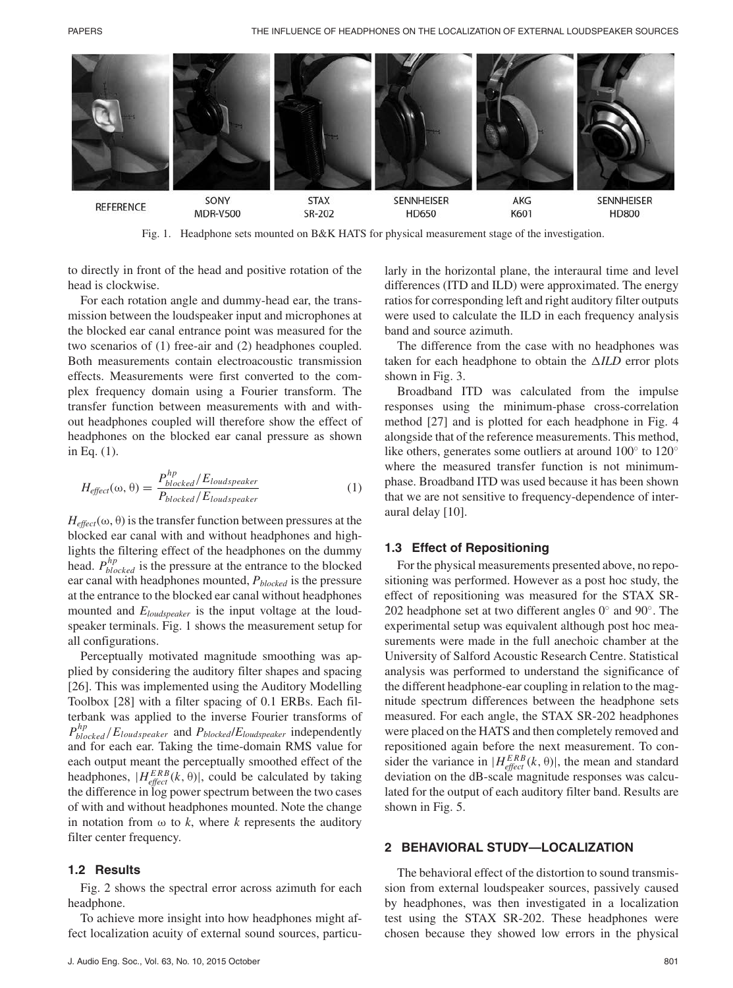

Fig. 1. Headphone sets mounted on B&K HATS for physical measurement stage of the investigation.

to directly in front of the head and positive rotation of the head is clockwise.

For each rotation angle and dummy-head ear, the transmission between the loudspeaker input and microphones at the blocked ear canal entrance point was measured for the two scenarios of (1) free-air and (2) headphones coupled. Both measurements contain electroacoustic transmission effects. Measurements were first converted to the complex frequency domain using a Fourier transform. The transfer function between measurements with and without headphones coupled will therefore show the effect of headphones on the blocked ear canal pressure as shown in Eq. (1).

$$
H_{effect}(\omega,\theta) = \frac{P_{blocked}^{hp}/E_{loudspeaker}}{P_{blocked}/E_{loudspeaker}}
$$
(1)

 $H_{effect}(\omega, \theta)$  is the transfer function between pressures at the blocked ear canal with and without headphones and highlights the filtering effect of the headphones on the dummy head. *Php blocked* is the pressure at the entrance to the blocked ear canal with headphones mounted, *Pblocked* is the pressure at the entrance to the blocked ear canal without headphones mounted and *Eloudspeaker* is the input voltage at the loudspeaker terminals. Fig. 1 shows the measurement setup for all configurations.

Perceptually motivated magnitude smoothing was applied by considering the auditory filter shapes and spacing [26]. This was implemented using the Auditory Modelling Toolbox [28] with a filter spacing of 0.1 ERBs. Each filterbank was applied to the inverse Fourier transforms of *Php blocked* /*Eloudspeaker* and *Pblocked*/*Eloudspeaker* independently and for each ear. Taking the time-domain RMS value for each output meant the perceptually smoothed effect of the headphones,  $|H_{effect}^{ERB}(k, \theta)|$ , could be calculated by taking the difference in log power spectrum between the two cases of with and without headphones mounted. Note the change in notation from  $\omega$  to *k*, where *k* represents the auditory filter center frequency.

#### **1.2 Results**

Fig. 2 shows the spectral error across azimuth for each headphone.

To achieve more insight into how headphones might affect localization acuity of external sound sources, particu-

larly in the horizontal plane, the interaural time and level differences (ITD and ILD) were approximated. The energy ratios for corresponding left and right auditory filter outputs were used to calculate the ILD in each frequency analysis band and source azimuth.

The difference from the case with no headphones was taken for each headphone to obtain the  $\triangle ILD$  error plots shown in Fig. 3.

Broadband ITD was calculated from the impulse responses using the minimum-phase cross-correlation method [27] and is plotted for each headphone in Fig. 4 alongside that of the reference measurements. This method, like others, generates some outliers at around 100◦ to 120◦ where the measured transfer function is not minimumphase. Broadband ITD was used because it has been shown that we are not sensitive to frequency-dependence of interaural delay [10].

#### **1.3 Effect of Repositioning**

For the physical measurements presented above, no repositioning was performed. However as a post hoc study, the effect of repositioning was measured for the STAX SR-202 headphone set at two different angles  $0°$  and  $90°$ . The experimental setup was equivalent although post hoc measurements were made in the full anechoic chamber at the University of Salford Acoustic Research Centre. Statistical analysis was performed to understand the significance of the different headphone-ear coupling in relation to the magnitude spectrum differences between the headphone sets measured. For each angle, the STAX SR-202 headphones were placed on the HATS and then completely removed and repositioned again before the next measurement. To consider the variance in  $|H_{\text{effect}}^{ERB}(k, \theta)|$ , the mean and standard deviation on the dB-scale magnitude responses was calculated for the output of each auditory filter band. Results are shown in Fig. 5.

#### **2 BEHAVIORAL STUDY—LOCALIZATION**

The behavioral effect of the distortion to sound transmission from external loudspeaker sources, passively caused by headphones, was then investigated in a localization test using the STAX SR-202. These headphones were chosen because they showed low errors in the physical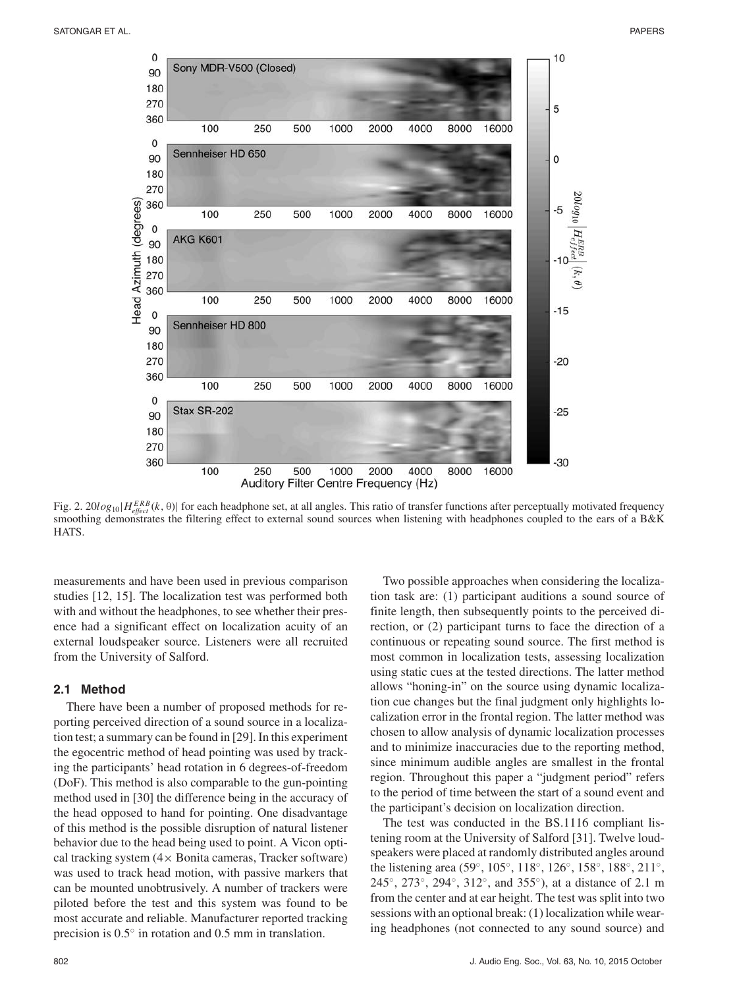

Fig. 2. 20 $log_{10}|H_{effect}^{ERB}(k, \theta)|$  for each headphone set, at all angles. This ratio of transfer functions after perceptually motivated frequency smoothing demonstrates the filtering effect to external sound sources when listening with headphones coupled to the ears of a B&K **HATS** 

measurements and have been used in previous comparison studies [12, 15]. The localization test was performed both with and without the headphones, to see whether their presence had a significant effect on localization acuity of an external loudspeaker source. Listeners were all recruited from the University of Salford.

## **2.1 Method**

There have been a number of proposed methods for reporting perceived direction of a sound source in a localization test; a summary can be found in [29]. In this experiment the egocentric method of head pointing was used by tracking the participants' head rotation in 6 degrees-of-freedom (DoF). This method is also comparable to the gun-pointing method used in [30] the difference being in the accuracy of the head opposed to hand for pointing. One disadvantage of this method is the possible disruption of natural listener behavior due to the head being used to point. A Vicon optical tracking system  $(4 \times$  Bonita cameras, Tracker software) was used to track head motion, with passive markers that can be mounted unobtrusively. A number of trackers were piloted before the test and this system was found to be most accurate and reliable. Manufacturer reported tracking precision is 0.5◦ in rotation and 0.5 mm in translation.

Two possible approaches when considering the localization task are: (1) participant auditions a sound source of finite length, then subsequently points to the perceived direction, or (2) participant turns to face the direction of a continuous or repeating sound source. The first method is most common in localization tests, assessing localization using static cues at the tested directions. The latter method allows "honing-in" on the source using dynamic localization cue changes but the final judgment only highlights localization error in the frontal region. The latter method was chosen to allow analysis of dynamic localization processes and to minimize inaccuracies due to the reporting method, since minimum audible angles are smallest in the frontal region. Throughout this paper a "judgment period" refers to the period of time between the start of a sound event and the participant's decision on localization direction.

The test was conducted in the BS.1116 compliant listening room at the University of Salford [31]. Twelve loudspeakers were placed at randomly distributed angles around the listening area (59◦, 105◦, 118◦, 126◦, 158◦, 188◦, 211◦, 245◦, 273◦, 294◦, 312◦, and 355◦), at a distance of 2.1 m from the center and at ear height. The test was split into two sessions with an optional break: (1) localization while wearing headphones (not connected to any sound source) and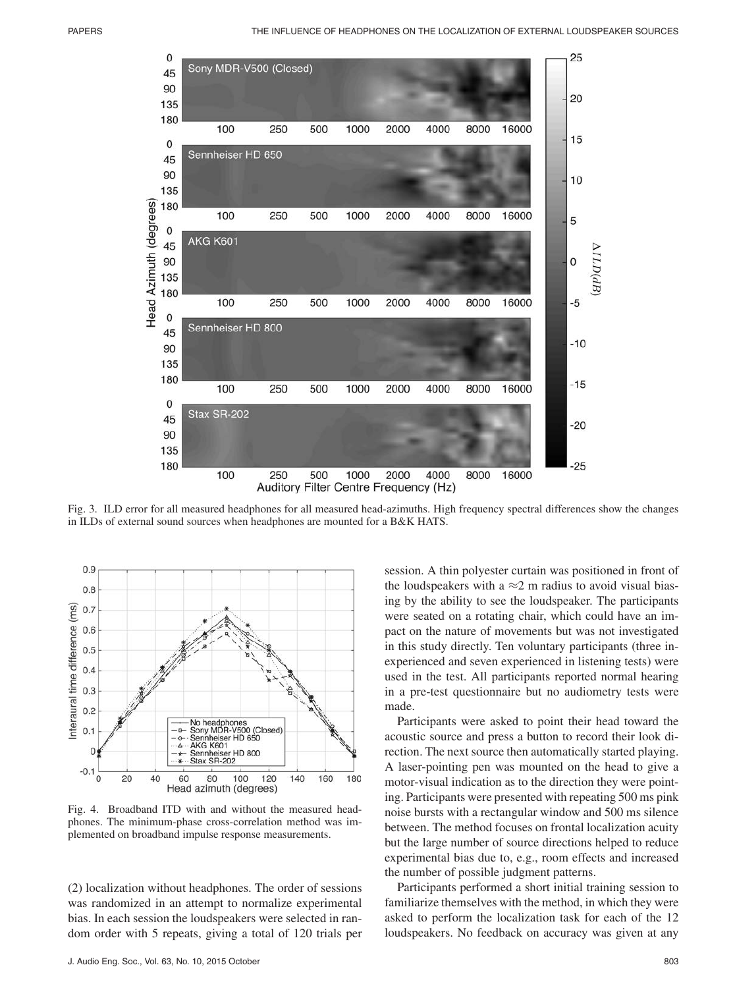

Fig. 3. ILD error for all measured headphones for all measured head-azimuths. High frequency spectral differences show the changes in ILDs of external sound sources when headphones are mounted for a B&K HATS.



Fig. 4. Broadband ITD with and without the measured headphones. The minimum-phase cross-correlation method was implemented on broadband impulse response measurements.

(2) localization without headphones. The order of sessions was randomized in an attempt to normalize experimental bias. In each session the loudspeakers were selected in random order with 5 repeats, giving a total of 120 trials per session. A thin polyester curtain was positioned in front of the loudspeakers with a  $\approx$ 2 m radius to avoid visual biasing by the ability to see the loudspeaker. The participants were seated on a rotating chair, which could have an impact on the nature of movements but was not investigated in this study directly. Ten voluntary participants (three inexperienced and seven experienced in listening tests) were used in the test. All participants reported normal hearing in a pre-test questionnaire but no audiometry tests were made.

Participants were asked to point their head toward the acoustic source and press a button to record their look direction. The next source then automatically started playing. A laser-pointing pen was mounted on the head to give a motor-visual indication as to the direction they were pointing. Participants were presented with repeating 500 ms pink noise bursts with a rectangular window and 500 ms silence between. The method focuses on frontal localization acuity but the large number of source directions helped to reduce experimental bias due to, e.g., room effects and increased the number of possible judgment patterns.

Participants performed a short initial training session to familiarize themselves with the method, in which they were asked to perform the localization task for each of the 12 loudspeakers. No feedback on accuracy was given at any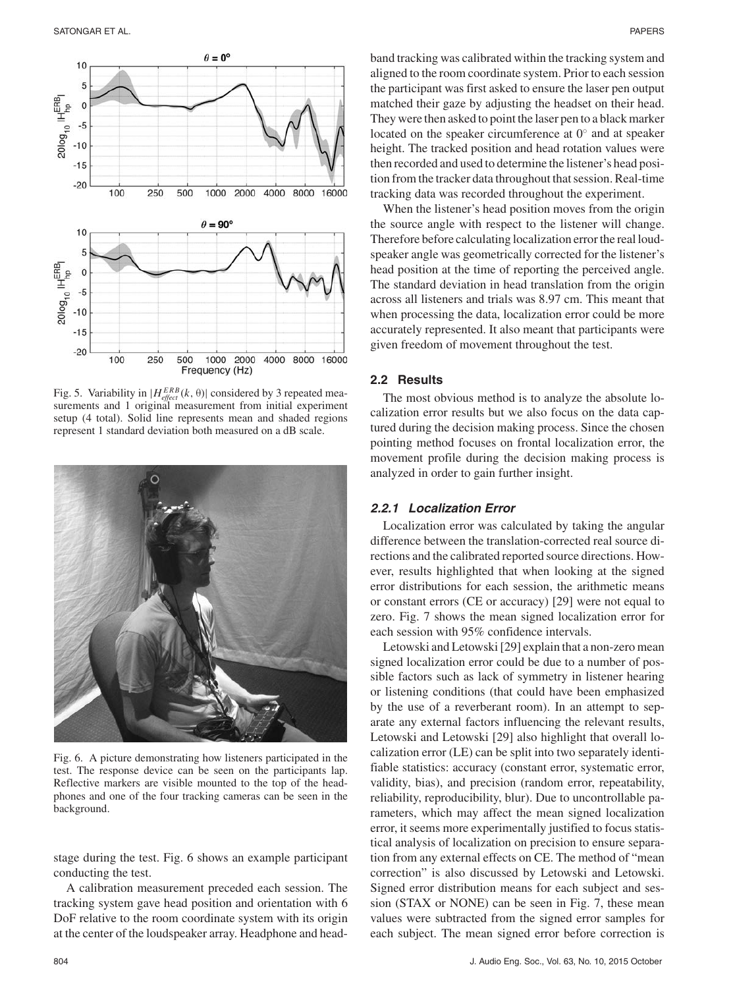

Fig. 5. Variability in  $|H_{effect}^{ERB}(k, θ)|$  considered by 3 repeated measurements and 1 original measurement from initial experiment setup (4 total). Solid line represents mean and shaded regions represent 1 standard deviation both measured on a dB scale.



Fig. 6. A picture demonstrating how listeners participated in the test. The response device can be seen on the participants lap. Reflective markers are visible mounted to the top of the headphones and one of the four tracking cameras can be seen in the background.

stage during the test. Fig. 6 shows an example participant conducting the test.

A calibration measurement preceded each session. The tracking system gave head position and orientation with 6 DoF relative to the room coordinate system with its origin at the center of the loudspeaker array. Headphone and headband tracking was calibrated within the tracking system and aligned to the room coordinate system. Prior to each session the participant was first asked to ensure the laser pen output matched their gaze by adjusting the headset on their head. They were then asked to point the laser pen to a black marker located on the speaker circumference at 0◦ and at speaker height. The tracked position and head rotation values were then recorded and used to determine the listener's head position from the tracker data throughout that session. Real-time tracking data was recorded throughout the experiment.

When the listener's head position moves from the origin the source angle with respect to the listener will change. Therefore before calculating localization error the real loudspeaker angle was geometrically corrected for the listener's head position at the time of reporting the perceived angle. The standard deviation in head translation from the origin across all listeners and trials was 8.97 cm. This meant that when processing the data, localization error could be more accurately represented. It also meant that participants were given freedom of movement throughout the test.

# **2.2 Results**

The most obvious method is to analyze the absolute localization error results but we also focus on the data captured during the decision making process. Since the chosen pointing method focuses on frontal localization error, the movement profile during the decision making process is analyzed in order to gain further insight.

# **2.2.1 Localization Error**

Localization error was calculated by taking the angular difference between the translation-corrected real source directions and the calibrated reported source directions. However, results highlighted that when looking at the signed error distributions for each session, the arithmetic means or constant errors (CE or accuracy) [29] were not equal to zero. Fig. 7 shows the mean signed localization error for each session with 95% confidence intervals.

Letowski and Letowski [29] explain that a non-zero mean signed localization error could be due to a number of possible factors such as lack of symmetry in listener hearing or listening conditions (that could have been emphasized by the use of a reverberant room). In an attempt to separate any external factors influencing the relevant results, Letowski and Letowski [29] also highlight that overall localization error (LE) can be split into two separately identifiable statistics: accuracy (constant error, systematic error, validity, bias), and precision (random error, repeatability, reliability, reproducibility, blur). Due to uncontrollable parameters, which may affect the mean signed localization error, it seems more experimentally justified to focus statistical analysis of localization on precision to ensure separation from any external effects on CE. The method of "mean correction" is also discussed by Letowski and Letowski. Signed error distribution means for each subject and session (STAX or NONE) can be seen in Fig. 7, these mean values were subtracted from the signed error samples for each subject. The mean signed error before correction is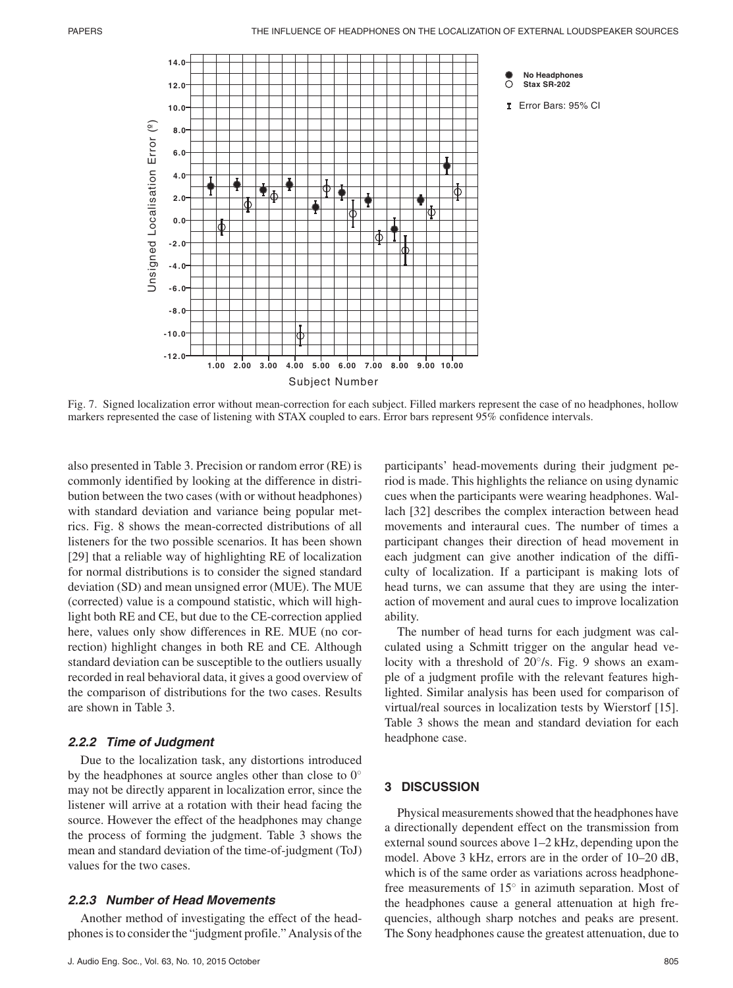

Fig. 7. Signed localization error without mean-correction for each subject. Filled markers represent the case of no headphones, hollow markers represented the case of listening with STAX coupled to ears. Error bars represent 95% confidence intervals.

also presented in Table 3. Precision or random error (RE) is commonly identified by looking at the difference in distribution between the two cases (with or without headphones) with standard deviation and variance being popular metrics. Fig. 8 shows the mean-corrected distributions of all listeners for the two possible scenarios. It has been shown [29] that a reliable way of highlighting RE of localization for normal distributions is to consider the signed standard deviation (SD) and mean unsigned error (MUE). The MUE (corrected) value is a compound statistic, which will highlight both RE and CE, but due to the CE-correction applied here, values only show differences in RE. MUE (no correction) highlight changes in both RE and CE. Although standard deviation can be susceptible to the outliers usually recorded in real behavioral data, it gives a good overview of the comparison of distributions for the two cases. Results are shown in Table 3.

#### **2.2.2 Time of Judgment**

Due to the localization task, any distortions introduced by the headphones at source angles other than close to  $0°$ may not be directly apparent in localization error, since the listener will arrive at a rotation with their head facing the source. However the effect of the headphones may change the process of forming the judgment. Table 3 shows the mean and standard deviation of the time-of-judgment (ToJ) values for the two cases.

#### **2.2.3 Number of Head Movements**

Another method of investigating the effect of the headphones is to consider the "judgment profile." Analysis of the

participants' head-movements during their judgment period is made. This highlights the reliance on using dynamic cues when the participants were wearing headphones. Wallach [32] describes the complex interaction between head movements and interaural cues. The number of times a participant changes their direction of head movement in each judgment can give another indication of the difficulty of localization. If a participant is making lots of head turns, we can assume that they are using the interaction of movement and aural cues to improve localization ability.

The number of head turns for each judgment was calculated using a Schmitt trigger on the angular head velocity with a threshold of 20◦/s. Fig. 9 shows an example of a judgment profile with the relevant features highlighted. Similar analysis has been used for comparison of virtual/real sources in localization tests by Wierstorf [15]. Table 3 shows the mean and standard deviation for each headphone case.

# **3 DISCUSSION**

Physical measurements showed that the headphones have a directionally dependent effect on the transmission from external sound sources above 1–2 kHz, depending upon the model. Above 3 kHz, errors are in the order of 10–20 dB, which is of the same order as variations across headphonefree measurements of 15◦ in azimuth separation. Most of the headphones cause a general attenuation at high frequencies, although sharp notches and peaks are present. The Sony headphones cause the greatest attenuation, due to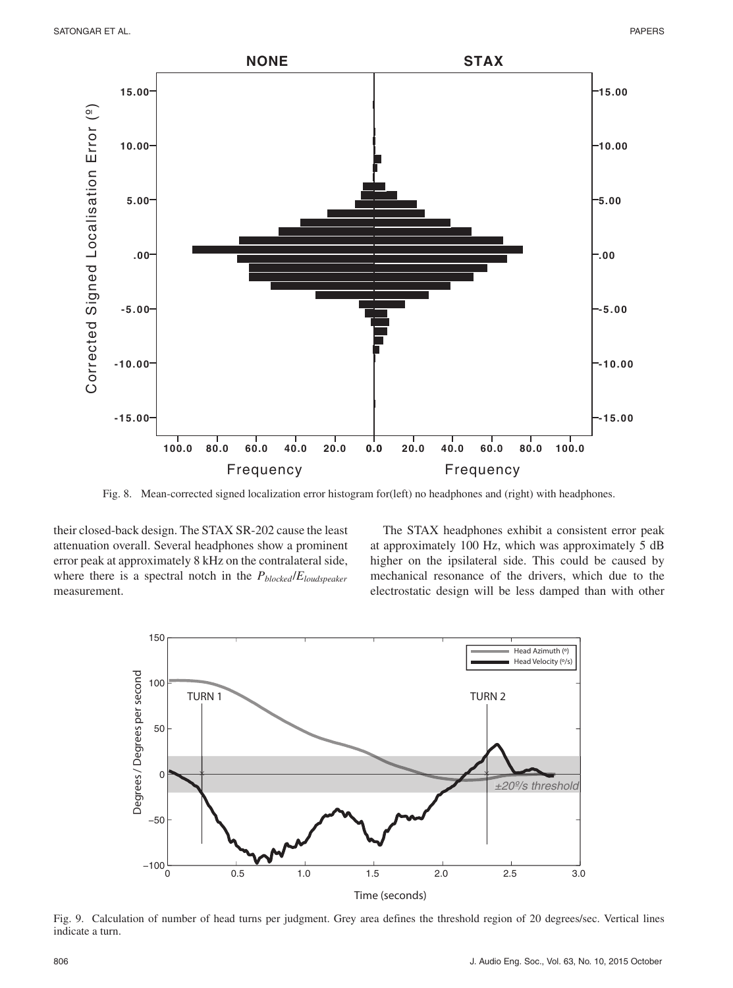

Fig. 8. Mean-corrected signed localization error histogram for(left) no headphones and (right) with headphones.

their closed-back design. The STAX SR-202 cause the least attenuation overall. Several headphones show a prominent error peak at approximately 8 kHz on the contralateral side, where there is a spectral notch in the *Pblocked*/*Eloudspeaker* measurement.

The STAX headphones exhibit a consistent error peak at approximately 100 Hz, which was approximately 5 dB higher on the ipsilateral side. This could be caused by mechanical resonance of the drivers, which due to the electrostatic design will be less damped than with other



Fig. 9. Calculation of number of head turns per judgment. Grey area defines the threshold region of 20 degrees/sec. Vertical lines indicate a turn.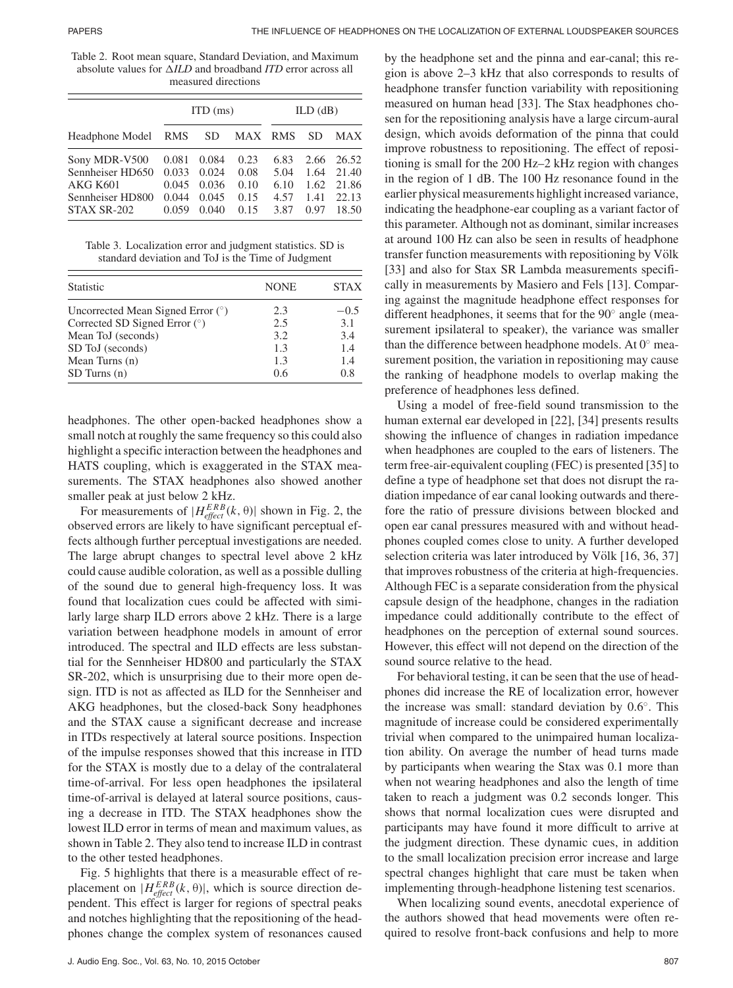Table 2. Root mean square, Standard Deviation, and Maximum absolute values for  $\triangle ILD$  and broadband *ITD* error across all measured directions

| Headphone Model RMS | ITD(ms) |       |         | ILD(dB) |      |            |
|---------------------|---------|-------|---------|---------|------|------------|
|                     |         | SD.   | MAX RMS |         | SD   | <b>MAX</b> |
| Sony MDR-V500       | 0.081   | 0.084 | 0.23    | 6.83    | 2.66 | 26.52      |
| Sennheiser HD650    | 0.033   | 0.024 | 0.08    | 5.04    | 1.64 | 21.40      |
| <b>AKG K601</b>     | 0.045   | 0.036 | 0.10    | 6.10    | 1.62 | 21.86      |
| Sennheiser HD800    | 0.044   | 0.045 | 0.15    | 4.57    | 1.41 | 22.13      |
| STAX SR-202         | 0.059   | 0.040 | 0.15    | 3.87    | 0.97 | 18.50      |

Table 3. Localization error and judgment statistics. SD is standard deviation and ToJ is the Time of Judgment

| <b>Statistic</b>                    | <b>NONE</b> | <b>STAX</b> |
|-------------------------------------|-------------|-------------|
| Uncorrected Mean Signed Error $(°)$ | 2.3         | $-0.5$      |
| Corrected SD Signed Error $(°)$     | 2.5         | 3.1         |
| Mean ToJ (seconds)                  | 3.2         | 3.4         |
| SD ToJ (seconds)                    | 1.3         | 1.4         |
| Mean Turns (n)                      | 1.3         | 1.4         |
| SD Turns (n)                        | 0.6         | 0.8         |

headphones. The other open-backed headphones show a small notch at roughly the same frequency so this could also highlight a specific interaction between the headphones and HATS coupling, which is exaggerated in the STAX measurements. The STAX headphones also showed another smaller peak at just below 2 kHz.

For measurements of  $|H_{effect}^{ERB}(k, \theta)|$  shown in Fig. 2, the observed errors are likely to have significant perceptual effects although further perceptual investigations are needed. The large abrupt changes to spectral level above 2 kHz could cause audible coloration, as well as a possible dulling of the sound due to general high-frequency loss. It was found that localization cues could be affected with similarly large sharp ILD errors above 2 kHz. There is a large variation between headphone models in amount of error introduced. The spectral and ILD effects are less substantial for the Sennheiser HD800 and particularly the STAX SR-202, which is unsurprising due to their more open design. ITD is not as affected as ILD for the Sennheiser and AKG headphones, but the closed-back Sony headphones and the STAX cause a significant decrease and increase in ITDs respectively at lateral source positions. Inspection of the impulse responses showed that this increase in ITD for the STAX is mostly due to a delay of the contralateral time-of-arrival. For less open headphones the ipsilateral time-of-arrival is delayed at lateral source positions, causing a decrease in ITD. The STAX headphones show the lowest ILD error in terms of mean and maximum values, as shown in Table 2. They also tend to increase ILD in contrast to the other tested headphones.

Fig. 5 highlights that there is a measurable effect of replacement on  $|H_{effect}^{ERB}(k, \theta)|$ , which is source direction dependent. This effect is larger for regions of spectral peaks and notches highlighting that the repositioning of the headphones change the complex system of resonances caused

by the headphone set and the pinna and ear-canal; this region is above 2–3 kHz that also corresponds to results of headphone transfer function variability with repositioning measured on human head [33]. The Stax headphones chosen for the repositioning analysis have a large circum-aural design, which avoids deformation of the pinna that could improve robustness to repositioning. The effect of repositioning is small for the 200 Hz–2 kHz region with changes in the region of 1 dB. The 100 Hz resonance found in the earlier physical measurements highlight increased variance, indicating the headphone-ear coupling as a variant factor of this parameter. Although not as dominant, similar increases at around 100 Hz can also be seen in results of headphone transfer function measurements with repositioning by Völk [33] and also for Stax SR Lambda measurements specifically in measurements by Masiero and Fels [13]. Comparing against the magnitude headphone effect responses for different headphones, it seems that for the 90◦ angle (measurement ipsilateral to speaker), the variance was smaller than the difference between headphone models. At  $0°$  measurement position, the variation in repositioning may cause the ranking of headphone models to overlap making the preference of headphones less defined.

Using a model of free-field sound transmission to the human external ear developed in [22], [34] presents results showing the influence of changes in radiation impedance when headphones are coupled to the ears of listeners. The term free-air-equivalent coupling (FEC) is presented [35] to define a type of headphone set that does not disrupt the radiation impedance of ear canal looking outwards and therefore the ratio of pressure divisions between blocked and open ear canal pressures measured with and without headphones coupled comes close to unity. A further developed selection criteria was later introduced by Völk [16, 36, 37] that improves robustness of the criteria at high-frequencies. Although FEC is a separate consideration from the physical capsule design of the headphone, changes in the radiation impedance could additionally contribute to the effect of headphones on the perception of external sound sources. However, this effect will not depend on the direction of the sound source relative to the head.

For behavioral testing, it can be seen that the use of headphones did increase the RE of localization error, however the increase was small: standard deviation by 0.6◦. This magnitude of increase could be considered experimentally trivial when compared to the unimpaired human localization ability. On average the number of head turns made by participants when wearing the Stax was 0.1 more than when not wearing headphones and also the length of time taken to reach a judgment was 0.2 seconds longer. This shows that normal localization cues were disrupted and participants may have found it more difficult to arrive at the judgment direction. These dynamic cues, in addition to the small localization precision error increase and large spectral changes highlight that care must be taken when implementing through-headphone listening test scenarios.

When localizing sound events, anecdotal experience of the authors showed that head movements were often required to resolve front-back confusions and help to more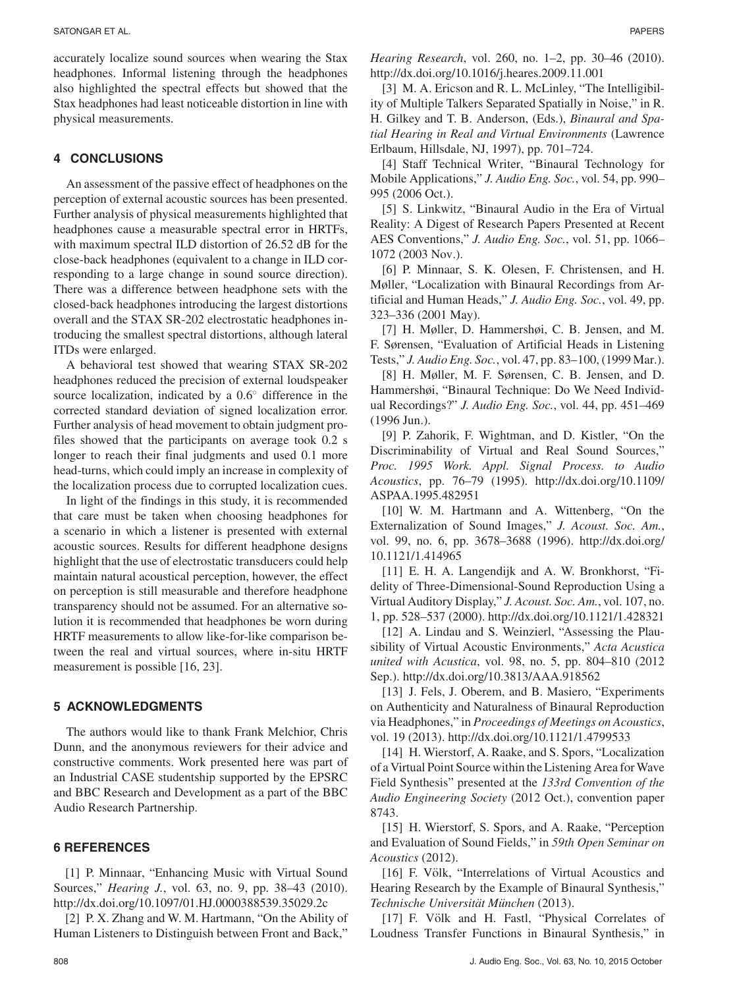accurately localize sound sources when wearing the Stax headphones. Informal listening through the headphones also highlighted the spectral effects but showed that the Stax headphones had least noticeable distortion in line with physical measurements.

# **4 CONCLUSIONS**

An assessment of the passive effect of headphones on the perception of external acoustic sources has been presented. Further analysis of physical measurements highlighted that headphones cause a measurable spectral error in HRTFs, with maximum spectral ILD distortion of 26.52 dB for the close-back headphones (equivalent to a change in ILD corresponding to a large change in sound source direction). There was a difference between headphone sets with the closed-back headphones introducing the largest distortions overall and the STAX SR-202 electrostatic headphones introducing the smallest spectral distortions, although lateral ITDs were enlarged.

A behavioral test showed that wearing STAX SR-202 headphones reduced the precision of external loudspeaker source localization, indicated by a 0.6<sup>○</sup> difference in the corrected standard deviation of signed localization error. Further analysis of head movement to obtain judgment profiles showed that the participants on average took 0.2 s longer to reach their final judgments and used 0.1 more head-turns, which could imply an increase in complexity of the localization process due to corrupted localization cues.

In light of the findings in this study, it is recommended that care must be taken when choosing headphones for a scenario in which a listener is presented with external acoustic sources. Results for different headphone designs highlight that the use of electrostatic transducers could help maintain natural acoustical perception, however, the effect on perception is still measurable and therefore headphone transparency should not be assumed. For an alternative solution it is recommended that headphones be worn during HRTF measurements to allow like-for-like comparison between the real and virtual sources, where in-situ HRTF measurement is possible [16, 23].

# **5 ACKNOWLEDGMENTS**

The authors would like to thank Frank Melchior, Chris Dunn, and the anonymous reviewers for their advice and constructive comments. Work presented here was part of an Industrial CASE studentship supported by the EPSRC and BBC Research and Development as a part of the BBC Audio Research Partnership.

#### **6 REFERENCES**

[1] P. Minnaar, "Enhancing Music with Virtual Sound Sources," *Hearing J.*, vol. 63, no. 9, pp. 38–43 (2010). http://dx.doi.org/10.1097/01.HJ.0000388539.35029.2c

[2] P. X. Zhang and W. M. Hartmann, "On the Ability of Human Listeners to Distinguish between Front and Back,"

*Hearing Research*, vol. 260, no. 1–2, pp. 30–46 (2010). http://dx.doi.org/10.1016/j.heares.2009.11.001

[3] M. A. Ericson and R. L. McLinley, "The Intelligibility of Multiple Talkers Separated Spatially in Noise," in R. H. Gilkey and T. B. Anderson, (Eds.), *Binaural and Spatial Hearing in Real and Virtual Environments* (Lawrence Erlbaum, Hillsdale, NJ, 1997), pp. 701–724.

[4] Staff Technical Writer, "Binaural Technology for Mobile Applications," *J. Audio Eng. Soc.*, vol. 54, pp. 990– 995 (2006 Oct.).

[5] S. Linkwitz, "Binaural Audio in the Era of Virtual Reality: A Digest of Research Papers Presented at Recent AES Conventions," *J. Audio Eng. Soc.*, vol. 51, pp. 1066– 1072 (2003 Nov.).

[6] P. Minnaar, S. K. Olesen, F. Christensen, and H. Møller, "Localization with Binaural Recordings from Artificial and Human Heads," *J. Audio Eng. Soc.*, vol. 49, pp. 323–336 (2001 May).

[7] H. Møller, D. Hammershøi, C. B. Jensen, and M. F. Sørensen, "Evaluation of Artificial Heads in Listening Tests," *J. Audio Eng. Soc.*, vol. 47, pp. 83–100, (1999 Mar.).

[8] H. Møller, M. F. Sørensen, C. B. Jensen, and D. Hammershøi, "Binaural Technique: Do We Need Individual Recordings?" *J. Audio Eng. Soc.*, vol. 44, pp. 451–469 (1996 Jun.).

[9] P. Zahorik, F. Wightman, and D. Kistler, "On the Discriminability of Virtual and Real Sound Sources," *Proc. 1995 Work. Appl. Signal Process. to Audio Acoustics*, pp. 76–79 (1995). http://dx.doi.org/10.1109/ ASPAA.1995.482951

[10] W. M. Hartmann and A. Wittenberg, "On the Externalization of Sound Images," *J. Acoust. Soc. Am.*, vol. 99, no. 6, pp. 3678–3688 (1996). http://dx.doi.org/ 10.1121/1.414965

[11] E. H. A. Langendijk and A. W. Bronkhorst, "Fidelity of Three-Dimensional-Sound Reproduction Using a Virtual Auditory Display," *J. Acoust. Soc. Am.*, vol. 107, no. 1, pp. 528–537 (2000). http://dx.doi.org/10.1121/1.428321

[12] A. Lindau and S. Weinzierl, "Assessing the Plausibility of Virtual Acoustic Environments," *Acta Acustica united with Acustica*, vol. 98, no. 5, pp. 804–810 (2012 Sep.). http://dx.doi.org/10.3813/AAA.918562

[13] J. Fels, J. Oberem, and B. Masiero, "Experiments on Authenticity and Naturalness of Binaural Reproduction via Headphones," in *Proceedings of Meetings on Acoustics*, vol. 19 (2013). http://dx.doi.org/10.1121/1.4799533

[14] H. Wierstorf, A. Raake, and S. Spors, "Localization" of a Virtual Point Source within the Listening Area for Wave Field Synthesis" presented at the *133rd Convention of the Audio Engineering Society* (2012 Oct.), convention paper 8743.

[15] H. Wierstorf, S. Spors, and A. Raake, "Perception and Evaluation of Sound Fields," in *59th Open Seminar on Acoustics* (2012).

[16] F. Völk, "Interrelations of Virtual Acoustics and Hearing Research by the Example of Binaural Synthesis," *Technische Universitat M¨ unchen ¨* (2013).

[17] F. Völk and H. Fastl, "Physical Correlates of Loudness Transfer Functions in Binaural Synthesis," in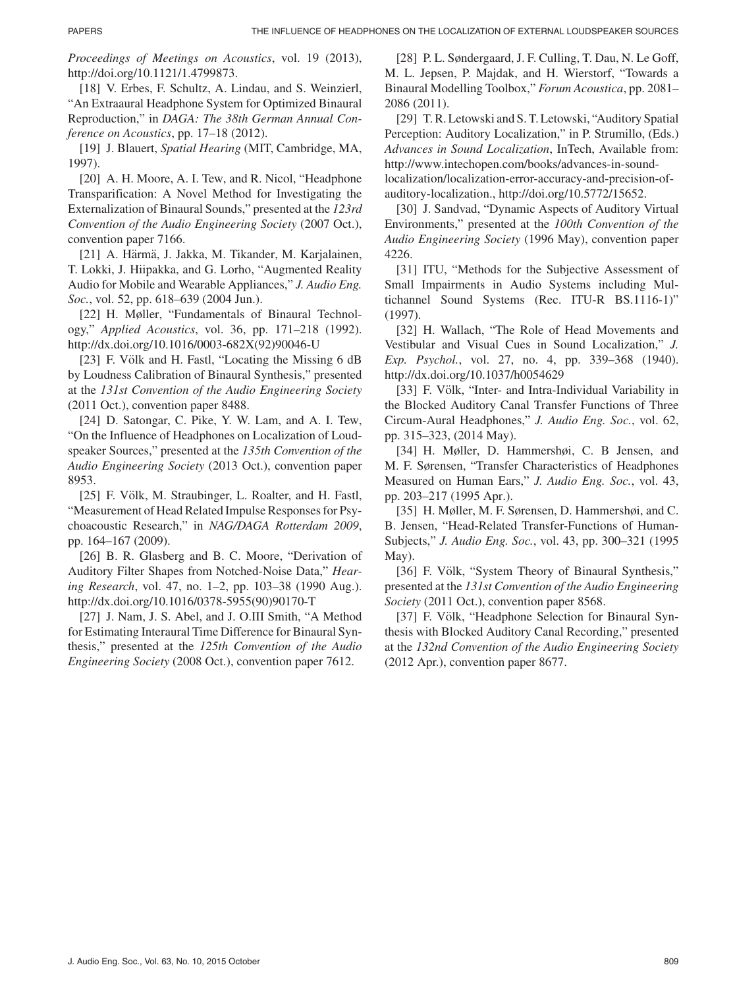*Proceedings of Meetings on Acoustics*, vol. 19 (2013), http://doi.org/10.1121/1.4799873.

[18] V. Erbes, F. Schultz, A. Lindau, and S. Weinzierl, "An Extraaural Headphone System for Optimized Binaural Reproduction," in *DAGA: The 38th German Annual Conference on Acoustics*, pp. 17–18 (2012).

[19] J. Blauert, *Spatial Hearing* (MIT, Cambridge, MA, 1997).

[20] A. H. Moore, A. I. Tew, and R. Nicol, "Headphone" Transparification: A Novel Method for Investigating the Externalization of Binaural Sounds," presented at the *123rd Convention of the Audio Engineering Society* (2007 Oct.), convention paper 7166.

[21] A. Härmä, J. Jakka, M. Tikander, M. Karjalainen, T. Lokki, J. Hiipakka, and G. Lorho, "Augmented Reality Audio for Mobile and Wearable Appliances," *J. Audio Eng. Soc.*, vol. 52, pp. 618–639 (2004 Jun.).

[22] H. Møller, "Fundamentals of Binaural Technology," *Applied Acoustics*, vol. 36, pp. 171–218 (1992). http://dx.doi.org/10.1016/0003-682X(92)90046-U

[23] F. Völk and H. Fastl, "Locating the Missing 6 dB by Loudness Calibration of Binaural Synthesis," presented at the *131st Convention of the Audio Engineering Society* (2011 Oct.), convention paper 8488.

[24] D. Satongar, C. Pike, Y. W. Lam, and A. I. Tew, "On the Influence of Headphones on Localization of Loudspeaker Sources," presented at the *135th Convention of the Audio Engineering Society* (2013 Oct.), convention paper 8953.

[25] F. Völk, M. Straubinger, L. Roalter, and H. Fastl, "Measurement of Head Related Impulse Responses for Psychoacoustic Research," in *NAG/DAGA Rotterdam 2009*, pp. 164–167 (2009).

[26] B. R. Glasberg and B. C. Moore, "Derivation of Auditory Filter Shapes from Notched-Noise Data," *Hearing Research*, vol. 47, no. 1–2, pp. 103–38 (1990 Aug.). http://dx.doi.org/10.1016/0378-5955(90)90170-T

[27] J. Nam, J. S. Abel, and J. O.III Smith, "A Method for Estimating Interaural Time Difference for Binaural Synthesis," presented at the *125th Convention of the Audio Engineering Society* (2008 Oct.), convention paper 7612.

[28] P. L. Søndergaard, J. F. Culling, T. Dau, N. Le Goff, M. L. Jepsen, P. Majdak, and H. Wierstorf, "Towards a Binaural Modelling Toolbox," *Forum Acoustica*, pp. 2081– 2086 (2011).

[29] T. R. Letowski and S. T. Letowski, "Auditory Spatial Perception: Auditory Localization," in P. Strumillo, (Eds.) *Advances in Sound Localization*, InTech, Available from: http://www.intechopen.com/books/advances-in-soundlocalization/localization-error-accuracy-and-precision-ofauditory-localization., http://doi.org/10.5772/15652.

[30] J. Sandvad, "Dynamic Aspects of Auditory Virtual Environments," presented at the *100th Convention of the Audio Engineering Society* (1996 May), convention paper 4226.

[31] ITU, "Methods for the Subjective Assessment of Small Impairments in Audio Systems including Multichannel Sound Systems (Rec. ITU-R BS.1116-1)" (1997).

[32] H. Wallach, "The Role of Head Movements and Vestibular and Visual Cues in Sound Localization," *J. Exp. Psychol.*, vol. 27, no. 4, pp. 339–368 (1940). http://dx.doi.org/10.1037/h0054629

[33] F. Völk, "Inter- and Intra-Individual Variability in the Blocked Auditory Canal Transfer Functions of Three Circum-Aural Headphones," *J. Audio Eng. Soc.*, vol. 62, pp. 315–323, (2014 May).

[34] H. Møller, D. Hammershøi, C. B Jensen, and M. F. Sørensen, "Transfer Characteristics of Headphones Measured on Human Ears," *J. Audio Eng. Soc.*, vol. 43, pp. 203–217 (1995 Apr.).

[35] H. Møller, M. F. Sørensen, D. Hammershøi, and C. B. Jensen, "Head-Related Transfer-Functions of Human-Subjects," *J. Audio Eng. Soc.*, vol. 43, pp. 300–321 (1995 May).

[36] F. Völk, "System Theory of Binaural Synthesis," presented at the *131st Convention of the Audio Engineering Society* (2011 Oct.), convention paper 8568.

[37] F. Völk, "Headphone Selection for Binaural Synthesis with Blocked Auditory Canal Recording," presented at the *132nd Convention of the Audio Engineering Society* (2012 Apr.), convention paper 8677.